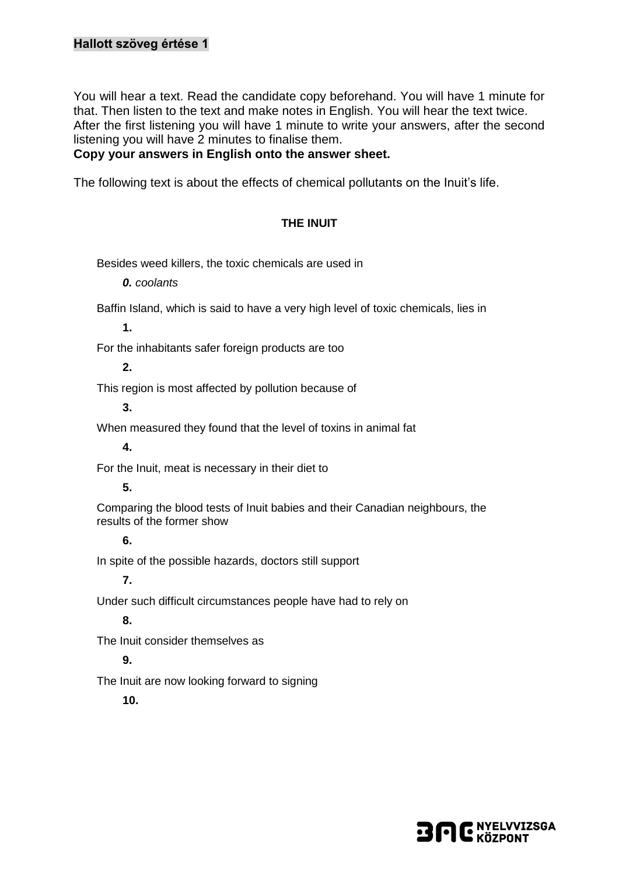# **Hallott szöveg értése 1**

You will hear a text. Read the candidate copy beforehand. You will have 1 minute for that. Then listen to the text and make notes in English. You will hear the text twice. After the first listening you will have 1 minute to write your answers, after the second listening you will have 2 minutes to finalise them.

### **Copy your answers in English onto the answer sheet.**

The following text is about the effects of chemical pollutants on the Inuit's life.

### **THE INUIT**

Besides weed killers, the toxic chemicals are used in

*0. coolants*

Baffin Island, which is said to have a very high level of toxic chemicals, lies in

**1.**

For the inhabitants safer foreign products are too

**2.**

This region is most affected by pollution because of

**3.**

When measured they found that the level of toxins in animal fat

**4.**

For the Inuit, meat is necessary in their diet to

#### **5.**

Comparing the blood tests of Inuit babies and their Canadian neighbours, the results of the former show

### **6.**

In spite of the possible hazards, doctors still support

**7.**

Under such difficult circumstances people have had to rely on

**8.**

The Inuit consider themselves as

# **9.**

The Inuit are now looking forward to signing

**10.**